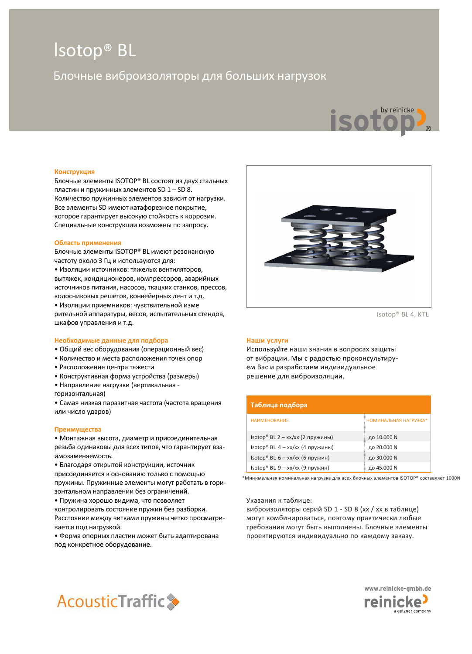# Isotop® BL

# Блочные виброизоляторы для больших нагрузок



#### **Конструкция**

Блочные элементы ISOTOP® BL состоят из двух стальных пластин и пружинных элементов SD 1 – SD 8. Количество пружинных элементов зависит от нагрузки. Все элементы SD имеют катафорезное покрытие, которое гарантирует высокую стойкость к коррозии. Специальные конструкции возможны по запросу.

#### **Область применения**

Блочные элементы ISOTOP® BL имеют резонансную частоту около 3 Гц и используются для:

• Изоляции источников: тяжелых вентиляторов, вытяжек, кондиционеров, компрессоров, аварийных источников питания, насосов, ткацких станков, прессов, колосниковых решеток, конвейерных лент и т.д.

• Изоляции приемников: чувствительной измерительной аппаратуры, весов, испытательных стендов, шкафов управления и т.д.

#### **Необходимые данные для подбора**

- Общий вес оборудования (операционный вес)
- Количество и места расположения точек опор
- Расположение центра тяжести
- Конструктивная форма устройства (размеры)
- Направление нагрузки (вертикальная -
- горизонтальная)

• Самая низкая паразитная частота (частота вращения или число ударов)

#### **Преимущества**

• Монтажная высота, диаметр и присоединительная резьба одинаковы для всех типов, что гарантирует взаимозаменяемость.

• Благодаря открытой конструкции, источник присоединяется к основанию только с помощью пружины. Пружинные элементы могут работать в горизонтальном направлении без ограничений.

• Пружина хорошо видима, что позволяет контролировать состояние пружин без разборки. Расстояние между витками пружины четко просматривается под нагрузкой.

• Форма опорных пластин может быть адаптирована под конкретное оборудование.



Isotop® BL 4, KTL

#### **Наши услуги**

Используйте наши знания в вопросах защиты от вибрации. Мы с радостью проконсультируем Вас и разработаем индивидуальное решение для виброизоляции.

| Таблица подбора                  |                       |
|----------------------------------|-----------------------|
| <b>НАИМЕНОВАНИЕ</b>              | НОМИНАЛЬНАЯ НАГРУЗКА* |
| Isotop® BL 2 - xx/xx (2 пружины) | до 10.000 N           |
| Isotop® BL 4 - xx/xx (4 пружины) | до 20.000 N           |
| Isotop® BL 6 - xx/xx (6 пружин)  | до 30.000 N           |
| Isotop® BL 9 - xx/xx (9 пружин)  | до 45.000 N           |

\*Минимальная номинальная нагрузка для всех блочных элементов ISOTOP® составляет 1000N

Указания к таблице:

виброизоляторы серий SD 1 - SD 8 (xx / xx в таблице) могут комбинироваться, поэтому практически любые требования могут быть выполнены. Блочные элементы проектируются индивидуально по каждому заказу.